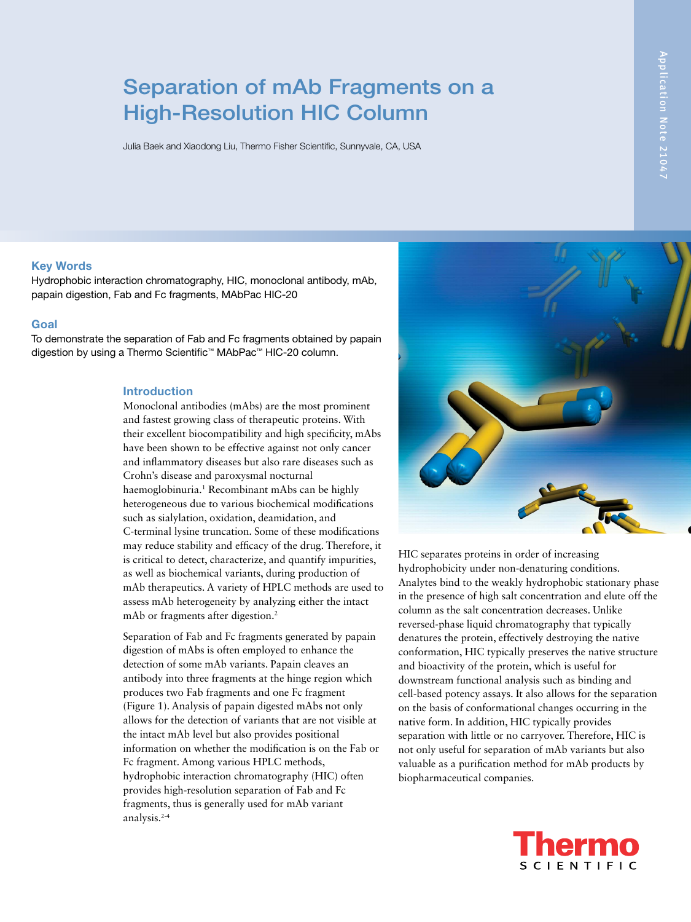# Separation of mAb Fragments on a High-Resolution HIC Column

Julia Baek and Xiaodong Liu, Thermo Fisher Scientific, Sunnyvale, CA, USA

# Key Words

Hydrophobic interaction chromatography, HIC, monoclonal antibody, mAb, papain digestion, Fab and Fc fragments, MAbPac HIC-20

### Goal

To demonstrate the separation of Fab and Fc fragments obtained by papain digestion by using a Thermo Scientific™ MAbPac™ HIC-20 column.

# Introduction

Monoclonal antibodies (mAbs) are the most prominent and fastest growing class of therapeutic proteins. With their excellent biocompatibility and high specificity, mAbs have been shown to be effective against not only cancer and inflammatory diseases but also rare diseases such as Crohn's disease and paroxysmal nocturnal haemoglobinuria.<sup>1</sup> Recombinant mAbs can be highly heterogeneous due to various biochemical modifications such as sialylation, oxidation, deamidation, and C-terminal lysine truncation. Some of these modifications may reduce stability and efficacy of the drug. Therefore, it is critical to detect, characterize, and quantify impurities, as well as biochemical variants, during production of mAb therapeutics. A variety of HPLC methods are used to assess mAb heterogeneity by analyzing either the intact mAb or fragments after digestion.<sup>2</sup>

Separation of Fab and Fc fragments generated by papain digestion of mAbs is often employed to enhance the detection of some mAb variants. Papain cleaves an antibody into three fragments at the hinge region which produces two Fab fragments and one Fc fragment (Figure 1). Analysis of papain digested mAbs not only allows for the detection of variants that are not visible at the intact mAb level but also provides positional information on whether the modification is on the Fab or Fc fragment. Among various HPLC methods, hydrophobic interaction chromatography (HIC) often provides high-resolution separation of Fab and Fc fragments, thus is generally used for mAb variant analysis.2-4



HIC separates proteins in order of increasing hydrophobicity under non-denaturing conditions. Analytes bind to the weakly hydrophobic stationary phase in the presence of high salt concentration and elute off the column as the salt concentration decreases. Unlike reversed-phase liquid chromatography that typically denatures the protein, effectively destroying the native conformation, HIC typically preserves the native structure and bioactivity of the protein, which is useful for downstream functional analysis such as binding and cell-based potency assays. It also allows for the separation on the basis of conformational changes occurring in the native form. In addition, HIC typically provides separation with little or no carryover. Therefore, HIC is not only useful for separation of mAb variants but also valuable as a purification method for mAb products by biopharmaceutical companies.

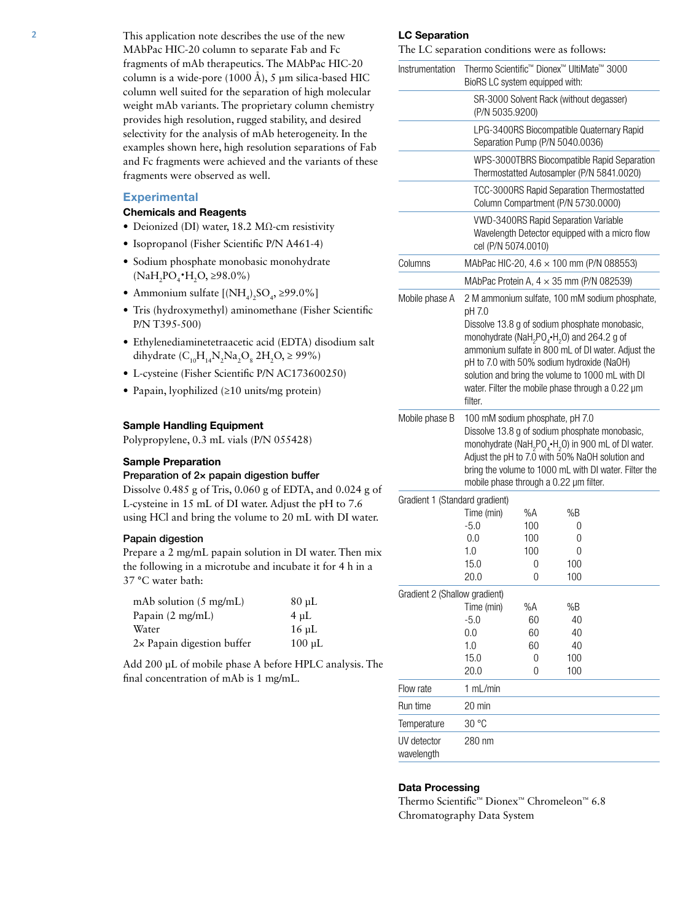This application note describes the use of the new MAbPac HIC-20 column to separate Fab and Fc fragments of mAb therapeutics. The MAbPac HIC-20 column is a wide-pore  $(1000 \text{ Å})$ , 5 µm silica-based HIC column well suited for the separation of high molecular weight mAb variants. The proprietary column chemistry provides high resolution, rugged stability, and desired selectivity for the analysis of mAb heterogeneity. In the examples shown here, high resolution separations of Fab and Fc fragments were achieved and the variants of these fragments were observed as well.

### **Experimental**

## Chemicals and Reagents

- Deionized (DI) water, 18.2 MΩ-cm resistivity
- Isopropanol (Fisher Scientific P/N A461-4)
- Sodium phosphate monobasic monohydrate  $(NaH_2PO_4\cdot H_2O \ge 98.0\%)$
- Ammonium sulfate  $[(NH_4)_2SO_4, \geq 99.0\%]$
- Tris (hydroxymethyl) aminomethane (Fisher Scientific P/N T395-500)
- Ethylenediaminetetraacetic acid (EDTA) disodium salt dihydrate  $(C_{10}H_{14}N_2Na_2O_8 2H_2O_8 \ge 99\%)$
- L-cysteine (Fisher Scientific P/N AC173600250)
- Papain, lyophilized (≥10 units/mg protein)

# Sample Handling Equipment

Polypropylene, 0.3 mL vials (P/N 055428)

# Sample Preparation

# Preparation of 2× papain digestion buffer

Dissolve 0.485 g of Tris, 0.060 g of EDTA, and 0.024 g of L-cysteine in 15 mL of DI water. Adjust the pH to 7.6 using HCl and bring the volume to 20 mL with DI water.

# Papain digestion

Prepare a 2 mg/mL papain solution in DI water. Then mix the following in a microtube and incubate it for 4 h in a 37 °C water bath:

| $mAb$ solution (5 mg/mL)           | $80 \mu L$  |
|------------------------------------|-------------|
| Papain $(2 \text{ mg/mL})$         | $4 \mu L$   |
| Water                              | $16 \mu L$  |
| $2 \times$ Papain digestion buffer | $100 \mu L$ |

Add 200 µL of mobile phase A before HPLC analysis. The final concentration of mAb is 1 mg/mL.

#### LC Separation

The LC separation conditions were as follows:

| Instrumentation                | Thermo Scientific <sup>™</sup> Dionex <sup>™</sup> UltiMate <sup>™</sup> 3000<br>BioRS LC system equipped with:                                                                                                                                                                                                                    |                                      |            |                                                                                                                                                                                                                                                                |  |
|--------------------------------|------------------------------------------------------------------------------------------------------------------------------------------------------------------------------------------------------------------------------------------------------------------------------------------------------------------------------------|--------------------------------------|------------|----------------------------------------------------------------------------------------------------------------------------------------------------------------------------------------------------------------------------------------------------------------|--|
|                                | SR-3000 Solvent Rack (without degasser)<br>(P/N 5035.9200)                                                                                                                                                                                                                                                                         |                                      |            |                                                                                                                                                                                                                                                                |  |
|                                | LPG-3400RS Biocompatible Quaternary Rapid<br>Separation Pump (P/N 5040.0036)                                                                                                                                                                                                                                                       |                                      |            |                                                                                                                                                                                                                                                                |  |
|                                | WPS-3000TBRS Biocompatible Rapid Separation<br>Thermostatted Autosampler (P/N 5841.0020)                                                                                                                                                                                                                                           |                                      |            |                                                                                                                                                                                                                                                                |  |
|                                | TCC-3000RS Rapid Separation Thermostatted<br>Column Compartment (P/N 5730.0000)                                                                                                                                                                                                                                                    |                                      |            |                                                                                                                                                                                                                                                                |  |
|                                | cel (P/N 5074.0010)                                                                                                                                                                                                                                                                                                                | VWD-3400RS Rapid Separation Variable |            | Wavelength Detector equipped with a micro flow                                                                                                                                                                                                                 |  |
| Columns                        | MAbPac HIC-20, 4.6 $\times$ 100 mm (P/N 088553)                                                                                                                                                                                                                                                                                    |                                      |            |                                                                                                                                                                                                                                                                |  |
|                                | MAbPac Protein A, $4 \times 35$ mm (P/N 082539)                                                                                                                                                                                                                                                                                    |                                      |            |                                                                                                                                                                                                                                                                |  |
| Mobile phase A                 | pH 7.0<br>monohydrate (NaH <sub>2</sub> PO <sub>4</sub> $\cdot$ H <sub>2</sub> O) and 264.2 g of<br>pH to 7.0 with 50% sodium hydroxide (NaOH)<br>filter.                                                                                                                                                                          |                                      |            | 2 M ammonium sulfate, 100 mM sodium phosphate,<br>Dissolve 13.8 g of sodium phosphate monobasic,<br>ammonium sulfate in 800 mL of DI water. Adjust the<br>solution and bring the volume to 1000 mL with DI<br>water. Filter the mobile phase through a 0.22 um |  |
| Mobile phase B                 | 100 mM sodium phosphate, pH 7.0<br>Dissolve 13.8 g of sodium phosphate monobasic,<br>monohydrate (NaH <sub>2</sub> PO <sub>4</sub> .H <sub>2</sub> O) in 900 mL of DI water.<br>Adjust the pH to 7.0 with 50% NaOH solution and<br>bring the volume to 1000 mL with DI water. Filter the<br>mobile phase through a 0.22 µm filter. |                                      |            |                                                                                                                                                                                                                                                                |  |
|                                |                                                                                                                                                                                                                                                                                                                                    |                                      |            |                                                                                                                                                                                                                                                                |  |
| Gradient 1 (Standard gradient) |                                                                                                                                                                                                                                                                                                                                    |                                      |            |                                                                                                                                                                                                                                                                |  |
|                                | Time (min)                                                                                                                                                                                                                                                                                                                         | %A                                   | %B         |                                                                                                                                                                                                                                                                |  |
|                                | $-5.0$                                                                                                                                                                                                                                                                                                                             | 100                                  | 0          |                                                                                                                                                                                                                                                                |  |
|                                | 0.0                                                                                                                                                                                                                                                                                                                                | 100                                  | 0          |                                                                                                                                                                                                                                                                |  |
|                                | 1.0                                                                                                                                                                                                                                                                                                                                | 100                                  | 0          |                                                                                                                                                                                                                                                                |  |
|                                | 15.0<br>20.0                                                                                                                                                                                                                                                                                                                       | 0<br>0                               | 100<br>100 |                                                                                                                                                                                                                                                                |  |
|                                |                                                                                                                                                                                                                                                                                                                                    |                                      |            |                                                                                                                                                                                                                                                                |  |
| Gradient 2 (Shallow gradient)  | Time (min)                                                                                                                                                                                                                                                                                                                         | %A                                   | %B         |                                                                                                                                                                                                                                                                |  |
|                                | $-5.0$                                                                                                                                                                                                                                                                                                                             | 60                                   | 40         |                                                                                                                                                                                                                                                                |  |
|                                | 0.0                                                                                                                                                                                                                                                                                                                                | 60                                   | 40         |                                                                                                                                                                                                                                                                |  |
|                                | 1.0                                                                                                                                                                                                                                                                                                                                | 60                                   | 40         |                                                                                                                                                                                                                                                                |  |
|                                | 15.0                                                                                                                                                                                                                                                                                                                               | 0                                    | 100        |                                                                                                                                                                                                                                                                |  |
|                                | 20.0                                                                                                                                                                                                                                                                                                                               | 0                                    | 100        |                                                                                                                                                                                                                                                                |  |
| Flow rate                      | 1 mL/min                                                                                                                                                                                                                                                                                                                           |                                      |            |                                                                                                                                                                                                                                                                |  |
| Run time                       | $20 \text{ min}$                                                                                                                                                                                                                                                                                                                   |                                      |            |                                                                                                                                                                                                                                                                |  |
| Temperature                    | 30 °C                                                                                                                                                                                                                                                                                                                              |                                      |            |                                                                                                                                                                                                                                                                |  |

#### Data Processing

Thermo Scientific™ Dionex™ Chromeleon™ 6.8 Chromatography Data System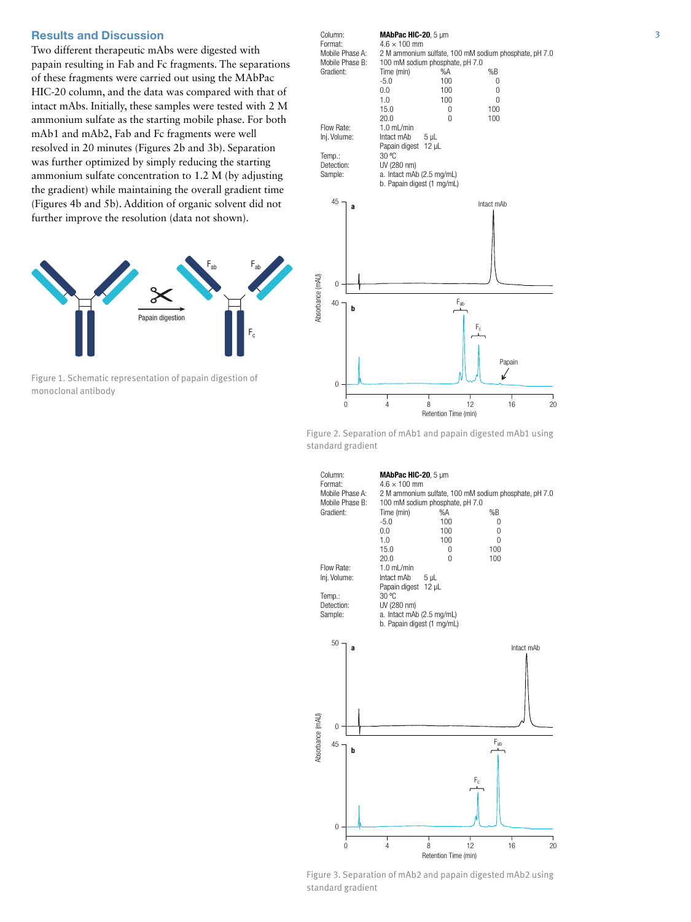# Results and Discussion

Two different therapeutic mAbs were digested with papain resulting in Fab and Fc fragments. The separations of these fragments were carried out using the MAbPac HIC-20 column, and the data was compared with that of intact mAbs. Initially, these samples were tested with 2 M ammonium sulfate as the starting mobile phase. For both mAb1 and mAb2, Fab and Fc fragments were well resolved in 20 minutes (Figures 2b and 3b). Separation was further optimized by simply reducing the starting ammonium sulfate concentration to 1.2 M (by adjusting the gradient) while maintaining the overall gradient time (Figures 4b and 5b). Addition of organic solvent did not further improve the resolution (data not shown).



Figure 1. Schematic representation of papain digestion of monoclonal antibody



Figure 2. Separation of mAb1 and papain digested mAb1 using standard gradient



Figure 3. Separation of mAb2 and papain digested mAb2 using standard gradient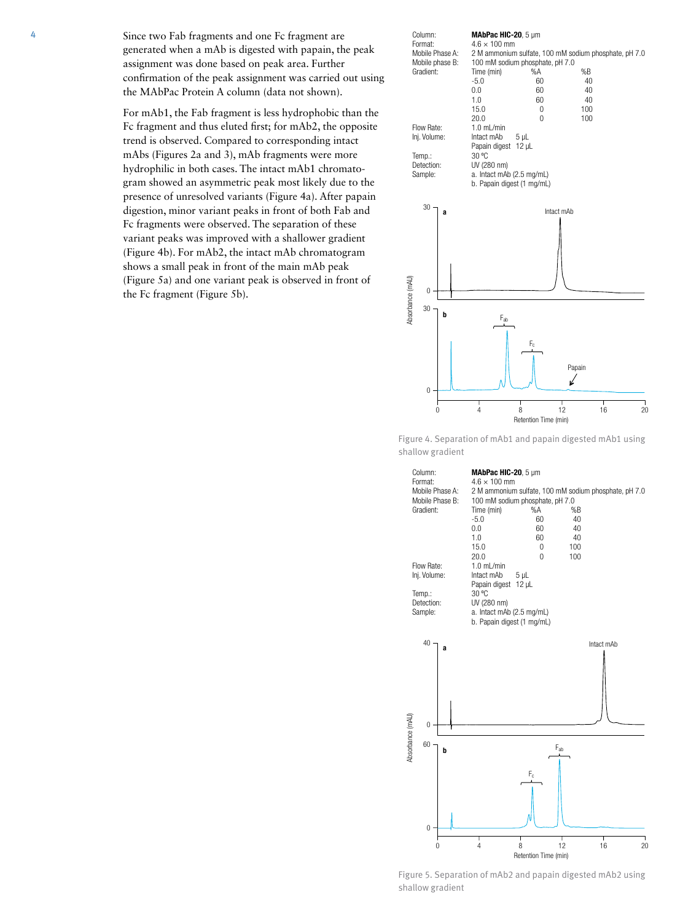4 Since two Fab fragments and one Fc fragment are generated when a mAb is digested with papain, the peak assignment was done based on peak area. Further confirmation of the peak assignment was carried out using the MAbPac Protein A column (data not shown).

> For mAb1, the Fab fragment is less hydrophobic than the Fc fragment and thus eluted first; for mAb2, the opposite trend is observed. Compared to corresponding intact mAbs (Figures 2a and 3), mAb fragments were more hydrophilic in both cases. The intact mAb1 chromatogram showed an asymmetric peak most likely due to the presence of unresolved variants (Figure 4a). After papain digestion, minor variant peaks in front of both Fab and Fc fragments were observed. The separation of these variant peaks was improved with a shallower gradient (Figure 4b). For mAb2, the intact mAb chromatogram shows a small peak in front of the main mAb peak (Figure 5a) and one variant peak is observed in front of the Fc fragment (Figure 5b).



Figure 4. Separation of mAb1 and papain digested mAb1 using shallow gradient



Figure 5. Separation of mAb2 and papain digested mAb2 using shallow gradient